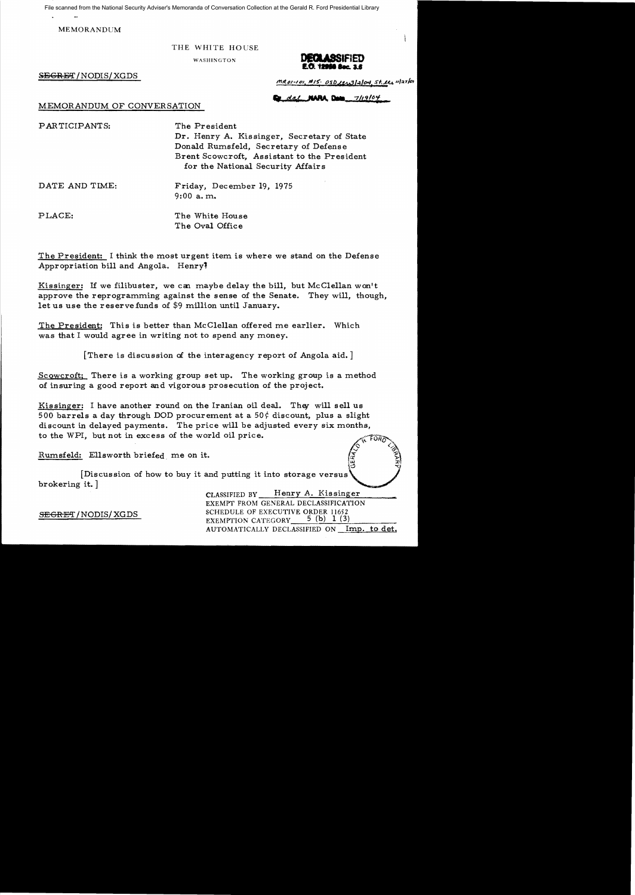File scanned from the National Security Adviser's Memoranda of Conversation Collection at the Gerald R. Ford Presidential Library

MEMORANDUM

#### THE WHITE HOUSE

# WASHINGTON **DECEMBER DECLASSIFIET**<br>E.O. 12956 Boc. 3.0

S<del>EGRET</del>/NODIS/XGDS

 $MRI-101, HIS. OSDL1.3/2[04, St.11.1101]$ 

dal **NARA Dee** 7/19/04

## MEMORANDUM OF CONVERSATION

PARTICIPANTS: The President

Dr. Henry A. Kissinger, Secretary of State Donald Rumsfeld, Secretary of Defense Brent Scowcroft, Assistant to the President for the National Security Affairs

DATE AND TIME: Friday, December 19, 1975 9:00 a. m.

PLACE: The White House The Oval Office

The President: I think the most urgent item is where we stand on the Defense Appropriation bill and Angola. Henryl

Kissinger: If we filibuster, we can maybe delay the bill, but McClellan won't approve the reprogramming against the sense of the Senate. They will, though, let us use the reserve funds of \$9 million until January.

The President: This is better than McClellan offered me earlier. Which was that I would agree in writing not to spend any money.

[There is discussion of the interagency report of Angola aid. ]

Scowcroft: There is a working group set up. The working group is a method of insuring a good report and vigorous prosecution of the project.

Kissinger: I have another round on the Iranian oil deal. They will sell us 500 barrels a day through DOD procurement at a 50 $\circ$  discount, plus a slight discount in delayed payments. The price will be adjusted every six months, to the WPI, but not in excess of the world oil price.  $\circ$  FORD

Rumsfeld: Ellsworth briefed me on it.

[Discussion of how to buy it and putting it into storage versus brokering it. ]

CLASSIFIED BY Henry A. Kissinger EXEMPT FROM GENERAL DECLASSIFICATION SEGRET/NODIS/XGDS SCHEDULE OF EXECUTIVE ORDER 11652 EXEMPTION CATEGORY  $5$  (b) 1 (3) AUTOMATICALLY DECLASSIFIED ON Imp. to det.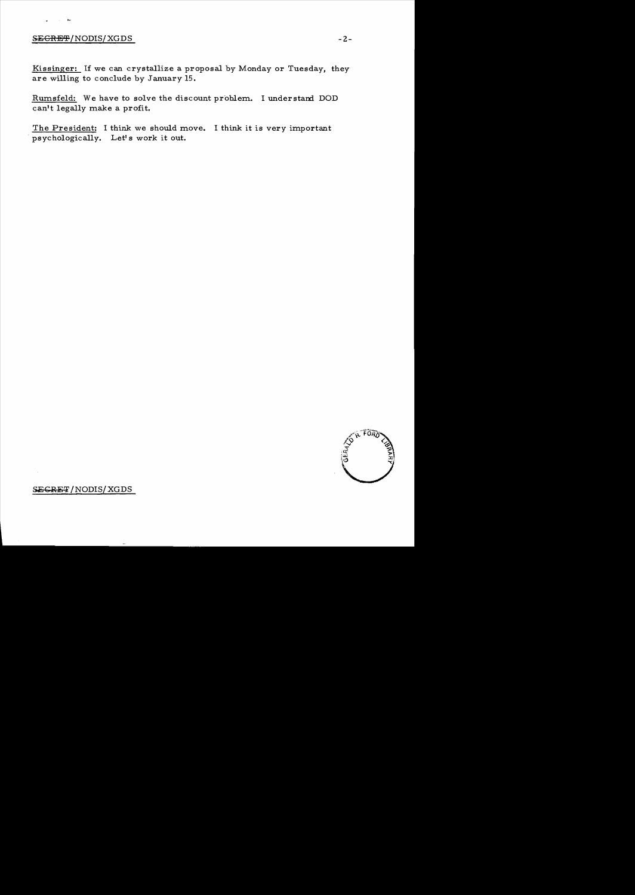### $SEGREF/NODIS/XGDS$  -2-

 $\epsilon$ 

Kissinger: If we can crystallize a proposal by Monday or Tuesday, they are willing to conclude by January 15.

Rumsfeld: We have to solve the discount problem. I understand DOD can't legally make a profit.

The President: I think we should move. I think it is very important . psychologically. Let's work it out.



#### SECRET/NODIS/XGDS